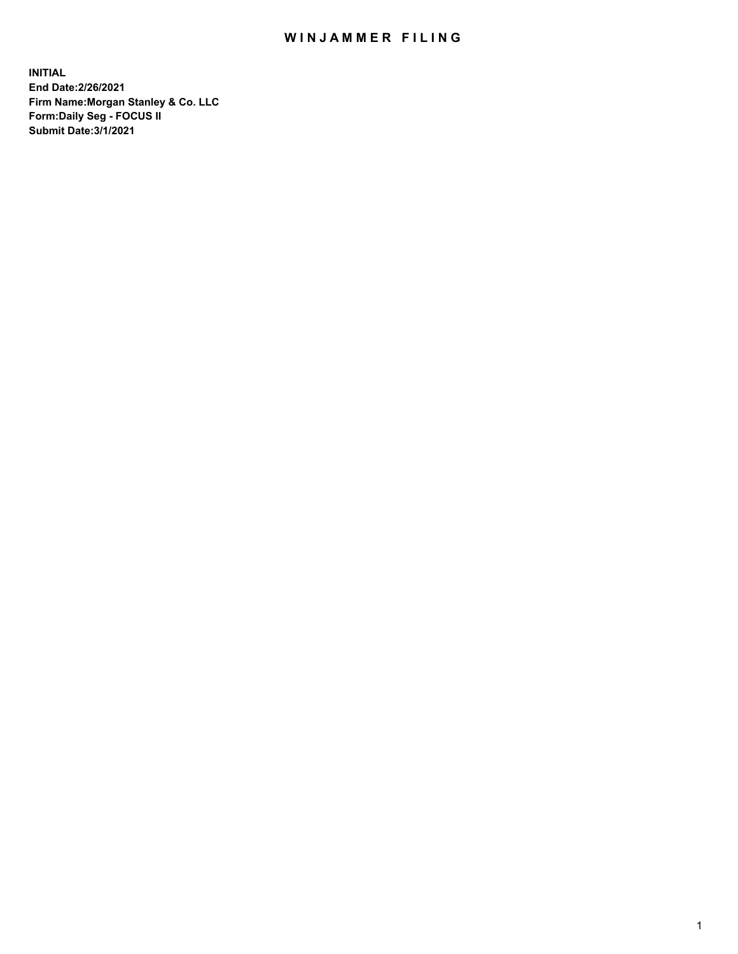## WIN JAMMER FILING

**INITIAL End Date:2/26/2021 Firm Name:Morgan Stanley & Co. LLC Form:Daily Seg - FOCUS II Submit Date:3/1/2021**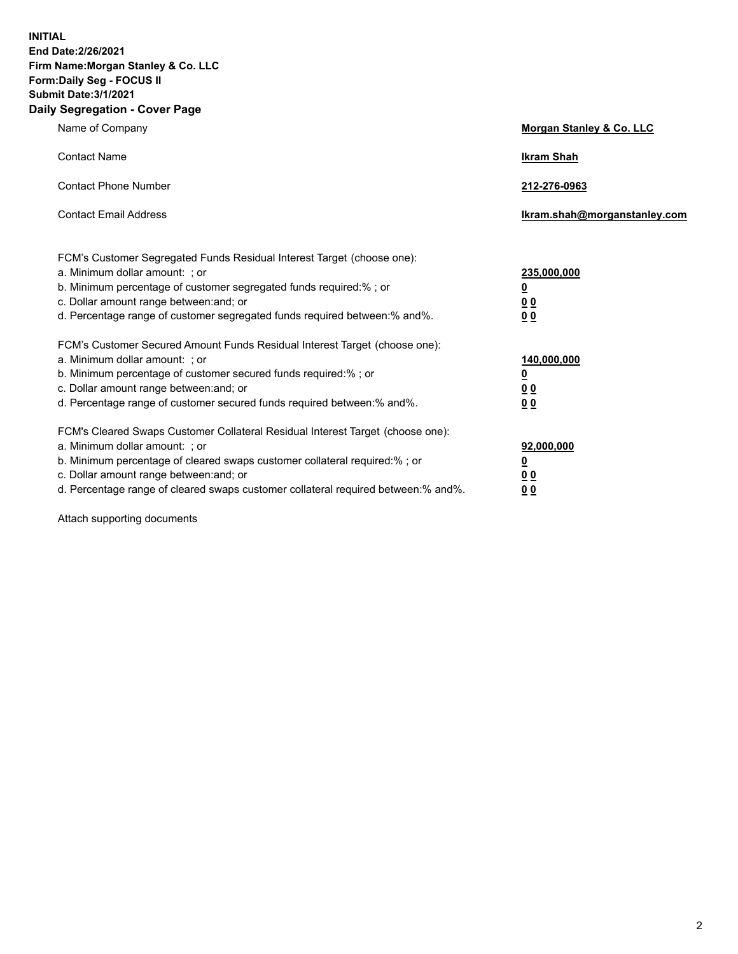**INITIAL End Date:2/26/2021 Firm Name:Morgan Stanley & Co. LLC Form:Daily Seg - FOCUS II Submit Date:3/1/2021 Daily Segregation - Cover Page**

| Name of Company                                                                                                                                                                                                                                                                                                                | Morgan Stanley & Co. LLC                        |
|--------------------------------------------------------------------------------------------------------------------------------------------------------------------------------------------------------------------------------------------------------------------------------------------------------------------------------|-------------------------------------------------|
| <b>Contact Name</b>                                                                                                                                                                                                                                                                                                            | <b>Ikram Shah</b>                               |
| <b>Contact Phone Number</b>                                                                                                                                                                                                                                                                                                    | 212-276-0963                                    |
| <b>Contact Email Address</b>                                                                                                                                                                                                                                                                                                   | Ikram.shah@morganstanley.com                    |
| FCM's Customer Segregated Funds Residual Interest Target (choose one):<br>a. Minimum dollar amount: ; or<br>b. Minimum percentage of customer segregated funds required:%; or<br>c. Dollar amount range between: and; or                                                                                                       | 235,000,000<br><u>0</u><br>00                   |
| d. Percentage range of customer segregated funds required between: % and %.<br>FCM's Customer Secured Amount Funds Residual Interest Target (choose one):<br>a. Minimum dollar amount: ; or<br>b. Minimum percentage of customer secured funds required:% ; or                                                                 | 0 Q<br>140,000,000<br><u>0</u>                  |
| c. Dollar amount range between: and; or<br>d. Percentage range of customer secured funds required between:% and%.                                                                                                                                                                                                              | <u>00</u><br>0 <sub>0</sub>                     |
| FCM's Cleared Swaps Customer Collateral Residual Interest Target (choose one):<br>a. Minimum dollar amount: ; or<br>b. Minimum percentage of cleared swaps customer collateral required:% ; or<br>c. Dollar amount range between: and; or<br>d. Percentage range of cleared swaps customer collateral required between:% and%. | 92,000,000<br><u>0</u><br>0 Q<br>0 <sub>0</sub> |

Attach supporting documents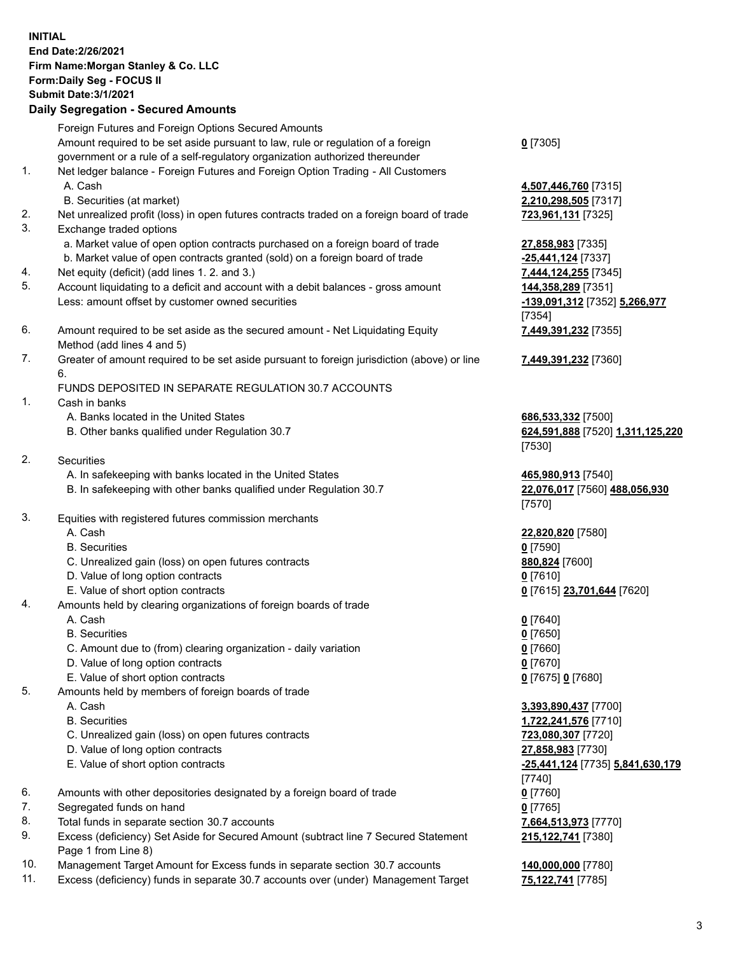|          | <b>INITIAL</b><br>End Date: 2/26/2021<br>Firm Name: Morgan Stanley & Co. LLC<br>Form: Daily Seg - FOCUS II<br><b>Submit Date: 3/1/2021</b><br><b>Daily Segregation - Secured Amounts</b>                                                            |                                                                  |
|----------|-----------------------------------------------------------------------------------------------------------------------------------------------------------------------------------------------------------------------------------------------------|------------------------------------------------------------------|
|          | Foreign Futures and Foreign Options Secured Amounts                                                                                                                                                                                                 |                                                                  |
| 1.       | Amount required to be set aside pursuant to law, rule or regulation of a foreign<br>government or a rule of a self-regulatory organization authorized thereunder<br>Net ledger balance - Foreign Futures and Foreign Option Trading - All Customers | $0$ [7305]                                                       |
|          | A. Cash<br>B. Securities (at market)                                                                                                                                                                                                                | 4,507,446,760 [7315]<br>2,210,298,505 [7317]                     |
| 2.<br>3. | Net unrealized profit (loss) in open futures contracts traded on a foreign board of trade                                                                                                                                                           | 723,961,131 [7325]                                               |
|          | Exchange traded options<br>a. Market value of open option contracts purchased on a foreign board of trade<br>b. Market value of open contracts granted (sold) on a foreign board of trade                                                           | 27,858,983 [7335]<br>-25,441,124 [7337]                          |
| 4.       | Net equity (deficit) (add lines 1. 2. and 3.)                                                                                                                                                                                                       | 7,444,124,255 [7345]                                             |
| 5.       | Account liquidating to a deficit and account with a debit balances - gross amount<br>Less: amount offset by customer owned securities                                                                                                               | 144,358,289 [7351]<br>-139,091,312 [7352] 5,266,977<br>[7354]    |
| 6.       | Amount required to be set aside as the secured amount - Net Liquidating Equity                                                                                                                                                                      | 7,449,391,232 [7355]                                             |
|          | Method (add lines 4 and 5)                                                                                                                                                                                                                          |                                                                  |
| 7.       | Greater of amount required to be set aside pursuant to foreign jurisdiction (above) or line<br>6.                                                                                                                                                   | 7,449,391,232 [7360]                                             |
|          | FUNDS DEPOSITED IN SEPARATE REGULATION 30.7 ACCOUNTS                                                                                                                                                                                                |                                                                  |
| 1.       | Cash in banks                                                                                                                                                                                                                                       |                                                                  |
|          | A. Banks located in the United States<br>B. Other banks qualified under Regulation 30.7                                                                                                                                                             | 686,533,332 [7500]<br>624,591,888 [7520] 1,311,125,220<br>[7530] |
| 2.       | <b>Securities</b>                                                                                                                                                                                                                                   |                                                                  |
|          | A. In safekeeping with banks located in the United States                                                                                                                                                                                           | 465,980,913 [7540]                                               |
|          | B. In safekeeping with other banks qualified under Regulation 30.7                                                                                                                                                                                  | 22,076,017 [7560] 488,056,930<br>[7570]                          |
| 3.       | Equities with registered futures commission merchants                                                                                                                                                                                               |                                                                  |
|          | A. Cash                                                                                                                                                                                                                                             | 22,820,820 [7580]                                                |
|          | <b>B.</b> Securities                                                                                                                                                                                                                                | $0$ [7590]                                                       |
|          | C. Unrealized gain (loss) on open futures contracts                                                                                                                                                                                                 | 880,824 [7600]                                                   |
|          | D. Value of long option contracts                                                                                                                                                                                                                   | $0$ [7610]                                                       |
|          | E. Value of short option contracts                                                                                                                                                                                                                  | 0 [7615] 23,701,644 [7620]                                       |
| 4.       | Amounts held by clearing organizations of foreign boards of trade<br>A. Cash                                                                                                                                                                        |                                                                  |
|          | <b>B.</b> Securities                                                                                                                                                                                                                                | $0$ [7640]<br>$0$ [7650]                                         |
|          | C. Amount due to (from) clearing organization - daily variation                                                                                                                                                                                     | $0$ [7660]                                                       |
|          | D. Value of long option contracts                                                                                                                                                                                                                   | $0$ [7670]                                                       |
|          | E. Value of short option contracts                                                                                                                                                                                                                  | 0 [7675] 0 [7680]                                                |
| 5.       | Amounts held by members of foreign boards of trade                                                                                                                                                                                                  |                                                                  |
|          | A. Cash                                                                                                                                                                                                                                             | 3,393,890,437 [7700]                                             |
|          | <b>B.</b> Securities                                                                                                                                                                                                                                | 1,722,241,576 [7710]                                             |
|          | C. Unrealized gain (loss) on open futures contracts                                                                                                                                                                                                 | 723,080,307 [7720]                                               |
|          | D. Value of long option contracts                                                                                                                                                                                                                   | 27,858,983 [7730]                                                |
|          | E. Value of short option contracts                                                                                                                                                                                                                  | -25,441,124 [7735] 5,841,630,179                                 |
|          |                                                                                                                                                                                                                                                     | $[7740]$                                                         |
| 6.       | Amounts with other depositories designated by a foreign board of trade                                                                                                                                                                              | $0$ [7760]                                                       |

- 7. Segregated funds on hand **0** [7765]
- 8. Total funds in separate section 30.7 accounts **7,664,513,973** [7770]
- 9. Excess (deficiency) Set Aside for Secured Amount (subtract line 7 Secured Statement Page 1 from Line 8)
- 10. Management Target Amount for Excess funds in separate section 30.7 accounts **140,000,000** [7780]
- 11. Excess (deficiency) funds in separate 30.7 accounts over (under) Management Target **75,122,741** [7785]

**215,122,741** [7380]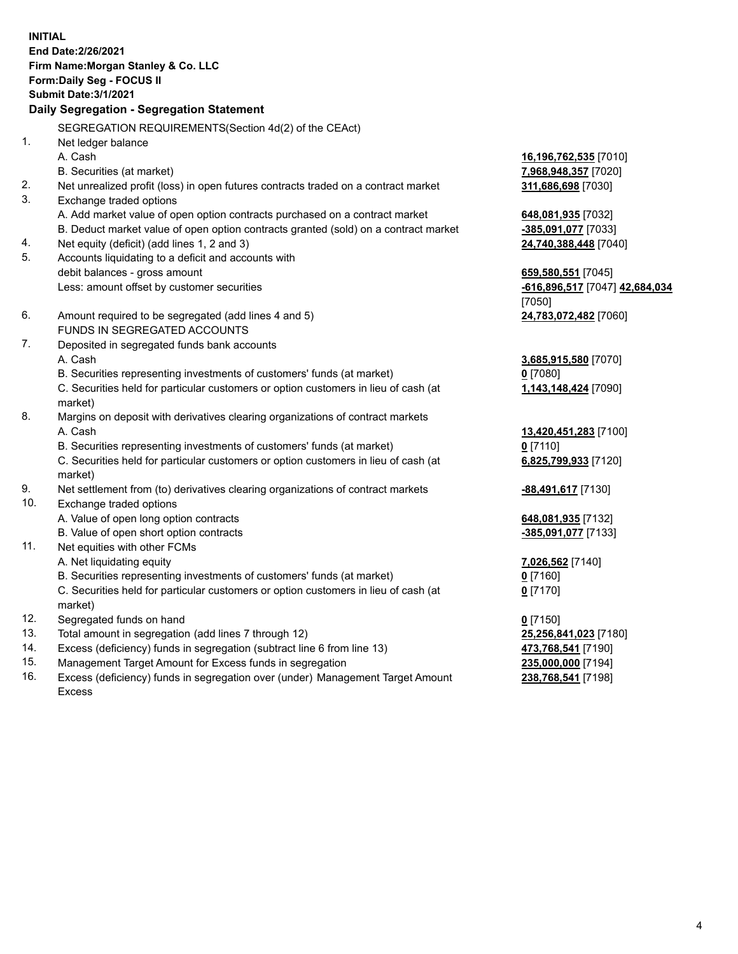**INITIAL End Date:2/26/2021 Firm Name:Morgan Stanley & Co. LLC Form:Daily Seg - FOCUS II Submit Date:3/1/2021 Daily Segregation - Segregation Statement** SEGREGATION REQUIREMENTS(Section 4d(2) of the CEAct) 1. Net ledger balance A. Cash **16,196,762,535** [7010] B. Securities (at market) **7,968,948,357** [7020] 2. Net unrealized profit (loss) in open futures contracts traded on a contract market **311,686,698** [7030] 3. Exchange traded options A. Add market value of open option contracts purchased on a contract market **648,081,935** [7032] B. Deduct market value of open option contracts granted (sold) on a contract market **-385,091,077** [7033] 4. Net equity (deficit) (add lines 1, 2 and 3) **24,740,388,448** [7040] 5. Accounts liquidating to a deficit and accounts with debit balances - gross amount **659,580,551** [7045] Less: amount offset by customer securities **-616,896,517** [7047] **42,684,034** [7050] 6. Amount required to be segregated (add lines 4 and 5) **24,783,072,482** [7060] FUNDS IN SEGREGATED ACCOUNTS 7. Deposited in segregated funds bank accounts A. Cash **3,685,915,580** [7070] B. Securities representing investments of customers' funds (at market) **0** [7080] C. Securities held for particular customers or option customers in lieu of cash (at market) **1,143,148,424** [7090] 8. Margins on deposit with derivatives clearing organizations of contract markets A. Cash **13,420,451,283** [7100] B. Securities representing investments of customers' funds (at market) **0** [7110] C. Securities held for particular customers or option customers in lieu of cash (at market) **6,825,799,933** [7120] 9. Net settlement from (to) derivatives clearing organizations of contract markets **-88,491,617** [7130] 10. Exchange traded options A. Value of open long option contracts **648,081,935** [7132] B. Value of open short option contracts **-385,091,077** [7133] 11. Net equities with other FCMs A. Net liquidating equity **7,026,562** [7140] B. Securities representing investments of customers' funds (at market) **0** [7160] C. Securities held for particular customers or option customers in lieu of cash (at market) **0** [7170] 12. Segregated funds on hand **0** [7150] 13. Total amount in segregation (add lines 7 through 12) **25,256,841,023** [7180] 14. Excess (deficiency) funds in segregation (subtract line 6 from line 13) **473,768,541** [7190]

- 15. Management Target Amount for Excess funds in segregation **235,000,000** [7194]
- 16. Excess (deficiency) funds in segregation over (under) Management Target Amount Excess

**238,768,541** [7198]